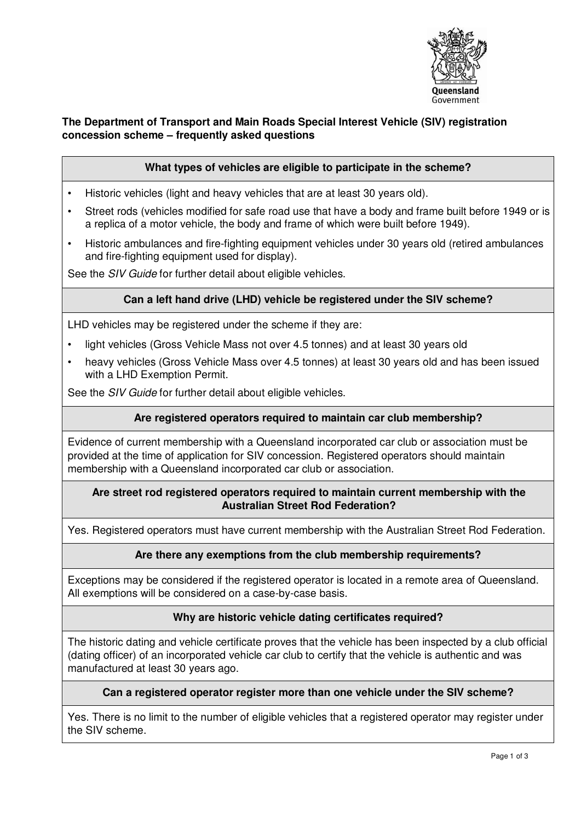

# **The Department of Transport and Main Roads Special Interest Vehicle (SIV) registration concession scheme – frequently asked questions**

## **What types of vehicles are eligible to participate in the scheme?**

- Historic vehicles (light and heavy vehicles that are at least 30 years old).
- Street rods (vehicles modified for safe road use that have a body and frame built before 1949 or is a replica of a motor vehicle, the body and frame of which were built before 1949).
- Historic ambulances and fire-fighting equipment vehicles under 30 years old (retired ambulances and fire-fighting equipment used for display).

See the *SIV Guide* for further detail about eligible vehicles.

#### **Can a left hand drive (LHD) vehicle be registered under the SIV scheme?**

LHD vehicles may be registered under the scheme if they are:

- light vehicles (Gross Vehicle Mass not over 4.5 tonnes) and at least 30 years old
- heavy vehicles (Gross Vehicle Mass over 4.5 tonnes) at least 30 years old and has been issued with a LHD Exemption Permit.

See the SIV Guide for further detail about eligible vehicles.

### **Are registered operators required to maintain car club membership?**

Evidence of current membership with a Queensland incorporated car club or association must be provided at the time of application for SIV concession. Registered operators should maintain membership with a Queensland incorporated car club or association.

#### **Are street rod registered operators required to maintain current membership with the Australian Street Rod Federation?**

Yes. Registered operators must have current membership with the Australian Street Rod Federation.

#### **Are there any exemptions from the club membership requirements?**

Exceptions may be considered if the registered operator is located in a remote area of Queensland. All exemptions will be considered on a case-by-case basis.

#### **Why are historic vehicle dating certificates required?**

The historic dating and vehicle certificate proves that the vehicle has been inspected by a club official (dating officer) of an incorporated vehicle car club to certify that the vehicle is authentic and was manufactured at least 30 years ago.

#### **Can a registered operator register more than one vehicle under the SIV scheme?**

Yes. There is no limit to the number of eligible vehicles that a registered operator may register under the SIV scheme.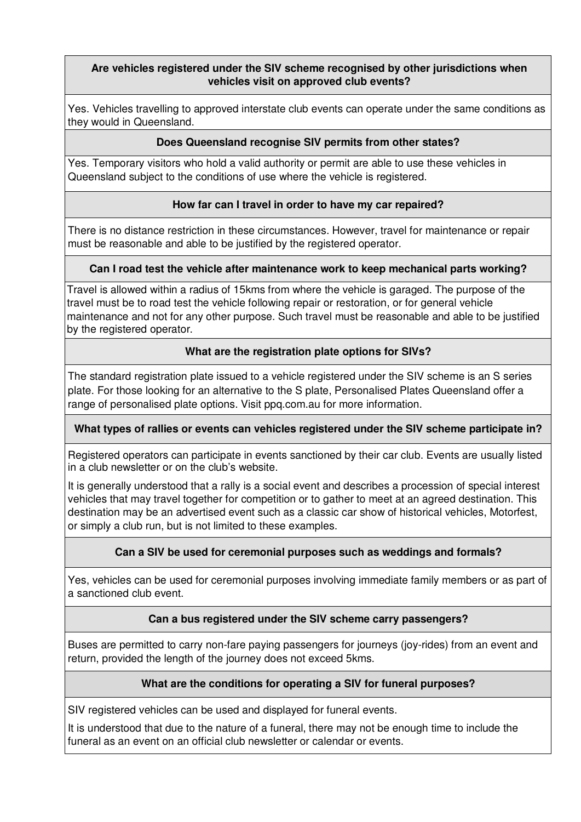# **Are vehicles registered under the SIV scheme recognised by other jurisdictions when vehicles visit on approved club events?**

Yes. Vehicles travelling to approved interstate club events can operate under the same conditions as they would in Queensland.

## **Does Queensland recognise SIV permits from other states?**

Yes. Temporary visitors who hold a valid authority or permit are able to use these vehicles in Queensland subject to the conditions of use where the vehicle is registered.

## **How far can I travel in order to have my car repaired?**

There is no distance restriction in these circumstances. However, travel for maintenance or repair must be reasonable and able to be justified by the registered operator.

## **Can I road test the vehicle after maintenance work to keep mechanical parts working?**

Travel is allowed within a radius of 15kms from where the vehicle is garaged. The purpose of the travel must be to road test the vehicle following repair or restoration, or for general vehicle maintenance and not for any other purpose. Such travel must be reasonable and able to be justified by the registered operator.

# **What are the registration plate options for SIVs?**

The standard registration plate issued to a vehicle registered under the SIV scheme is an S series plate. For those looking for an alternative to the S plate, Personalised Plates Queensland offer a range of personalised plate options. Visit ppq.com.au for more information.

### **What types of rallies or events can vehicles registered under the SIV scheme participate in?**

Registered operators can participate in events sanctioned by their car club. Events are usually listed in a club newsletter or on the club's website.

It is generally understood that a rally is a social event and describes a procession of special interest vehicles that may travel together for competition or to gather to meet at an agreed destination. This destination may be an advertised event such as a classic car show of historical vehicles, Motorfest, or simply a club run, but is not limited to these examples.

# **Can a SIV be used for ceremonial purposes such as weddings and formals?**

Yes, vehicles can be used for ceremonial purposes involving immediate family members or as part of a sanctioned club event.

### **Can a bus registered under the SIV scheme carry passengers?**

Buses are permitted to carry non-fare paying passengers for journeys (joy-rides) from an event and return, provided the length of the journey does not exceed 5kms.

### **What are the conditions for operating a SIV for funeral purposes?**

SIV registered vehicles can be used and displayed for funeral events.

It is understood that due to the nature of a funeral, there may not be enough time to include the funeral as an event on an official club newsletter or calendar or events.